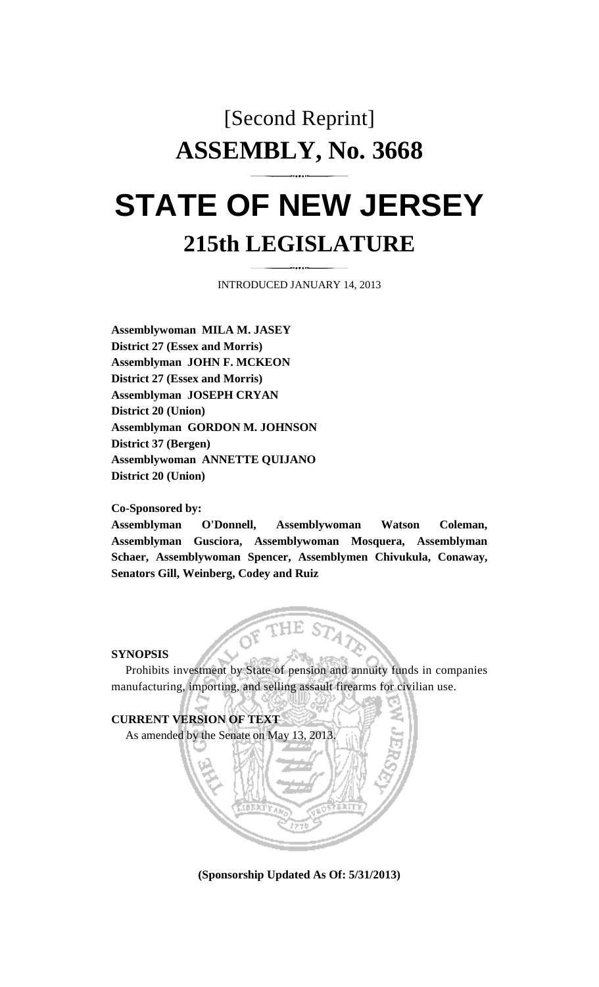## [Second Reprint] **ASSEMBLY, No. 3668**

# **STATE OF NEW JERSEY 215th LEGISLATURE**

INTRODUCED JANUARY 14, 2013

**Assemblywoman MILA M. JASEY District 27 (Essex and Morris) Assemblyman JOHN F. MCKEON District 27 (Essex and Morris) Assemblyman JOSEPH CRYAN District 20 (Union) Assemblyman GORDON M. JOHNSON District 37 (Bergen) Assemblywoman ANNETTE QUIJANO District 20 (Union)** 

### **Co-Sponsored by:**

**Assemblyman O'Donnell, Assemblywoman Watson Coleman, Assemblyman Gusciora, Assemblywoman Mosquera, Assemblyman Schaer, Assemblywoman Spencer, Assemblymen Chivukula, Conaway, Senators Gill, Weinberg, Codey and Ruiz** 

### **SYNOPSIS**

 Prohibits investment by State of pension and annuity funds in companies manufacturing, importing, and selling assault firearms for civilian use.



**(Sponsorship Updated As Of: 5/31/2013)**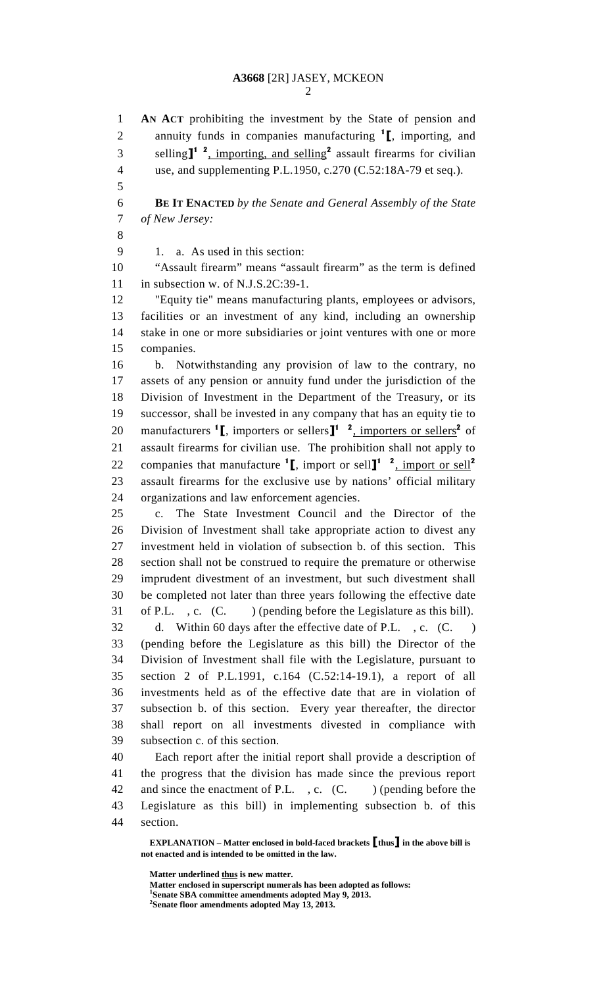1 **AN ACT** prohibiting the investment by the State of pension and 2 annuity funds in companies manufacturing  $\mathbf{I}$ , importing, and 3 selling  $I^1$ <sup>2</sup>, importing, and selling<sup>2</sup> assault firearms for civilian 4 use, and supplementing P.L.1950, c.270 (C.52:18A-79 et seq.). 5 6 **BE IT ENACTED** *by the Senate and General Assembly of the State*  7 *of New Jersey:* 8 9 1. a. As used in this section: 10 "Assault firearm" means "assault firearm" as the term is defined 11 in subsection w. of N.J.S.2C:39-1. 12 "Equity tie" means manufacturing plants, employees or advisors, 13 facilities or an investment of any kind, including an ownership 14 stake in one or more subsidiaries or joint ventures with one or more 15 companies. 16 b. Notwithstanding any provision of law to the contrary, no 17 assets of any pension or annuity fund under the jurisdiction of the 18 Division of Investment in the Department of the Treasury, or its 19 successor, shall be invested in any company that has an equity tie to 20 manufacturers  $\textbf{1}_{\text{L}}$ , importers or sellers $\textbf{1}_{\text{L}}$  and  $\textbf{2}_{\text{L}}$  importers or sellers<sup>2</sup> of 21 assault firearms for civilian use. The prohibition shall not apply to 22 companies that manufacture  $\left[ \right]$ , import or sell $\left[ \right]$ <sup>1</sup>  $\left[ \right]$ , import or sell<sup>2</sup> 23 assault firearms for the exclusive use by nations' official military 24 organizations and law enforcement agencies. 25 c. The State Investment Council and the Director of the 26 Division of Investment shall take appropriate action to divest any 27 investment held in violation of subsection b. of this section. This 28 section shall not be construed to require the premature or otherwise 29 imprudent divestment of an investment, but such divestment shall 30 be completed not later than three years following the effective date 31 of P.L., c. (C. ) (pending before the Legislature as this bill). 32 d. Within 60 days after the effective date of P.L., c. (C.) 33 (pending before the Legislature as this bill) the Director of the 34 Division of Investment shall file with the Legislature, pursuant to 35 section 2 of P.L.1991, c.164 (C.52:14-19.1), a report of all 36 investments held as of the effective date that are in violation of 37 subsection b. of this section. Every year thereafter, the director 38 shall report on all investments divested in compliance with 39 subsection c. of this section. 40 Each report after the initial report shall provide a description of 41 the progress that the division has made since the previous report 42 and since the enactment of P.L., c. (C. ) (pending before the 43 Legislature as this bill) in implementing subsection b. of this 44 section.

 **EXPLANATION – Matter enclosed in bold-faced brackets** [**thus**] **in the above bill is not enacted and is intended to be omitted in the law.** 

**Matter underlined thus is new matter.** 

 **Matter enclosed in superscript numerals has been adopted as follows: 1 Senate SBA committee amendments adopted May 9, 2013.** 

**2 Senate floor amendments adopted May 13, 2013.**